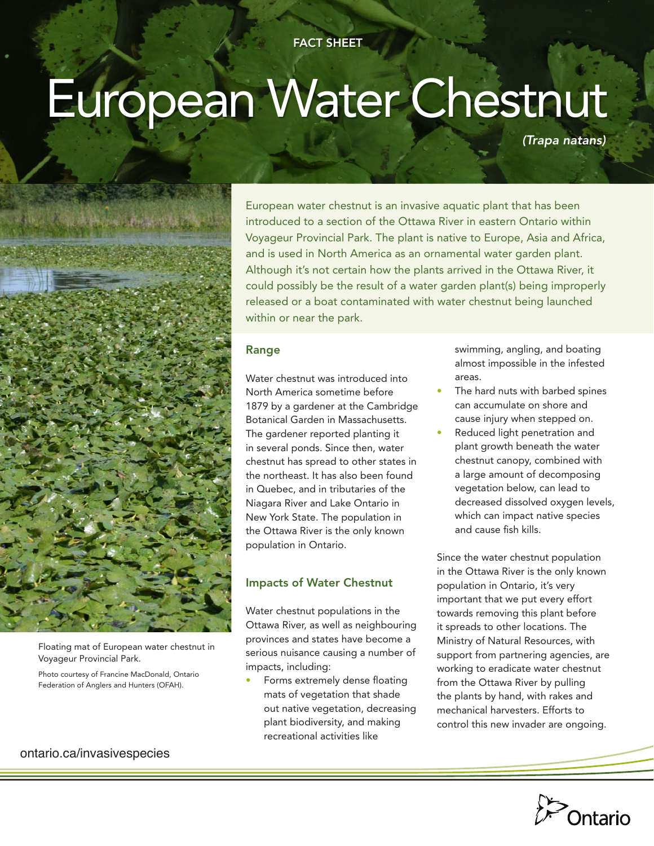# European Water Chestnut

*(Trapa natans)*



Floating mat of European water chestnut in Voyageur Provincial Park.

Photo courtesy of Francine MacDonald, Ontario Federation of Anglers and Hunters (OFAH).

ontario.ca/invasivespecies

European water chestnut is an invasive aquatic plant that has been introduced to a section of the Ottawa River in eastern Ontario within Voyageur Provincial Park. The plant is native to Europe, Asia and Africa, and is used in North America as an ornamental water garden plant. Although it's not certain how the plants arrived in the Ottawa River, it could possibly be the result of a water garden plant(s) being improperly released or a boat contaminated with water chestnut being launched within or near the park.

#### Range

Water chestnut was introduced into North America sometime before 1879 by a gardener at the Cambridge Botanical Garden in Massachusetts. The gardener reported planting it in several ponds. Since then, water chestnut has spread to other states in the northeast. It has also been found in Quebec, and in tributaries of the Niagara River and Lake Ontario in New York State. The population in the Ottawa River is the only known population in Ontario.

# Impacts of Water Chestnut

Water chestnut populations in the Ottawa River, as well as neighbouring provinces and states have become a serious nuisance causing a number of impacts, including:

Forms extremely dense floating mats of vegetation that shade out native vegetation, decreasing plant biodiversity, and making recreational activities like

swimming, angling, and boating almost impossible in the infested areas.

- The hard nuts with barbed spines can accumulate on shore and cause injury when stepped on.
- Reduced light penetration and plant growth beneath the water chestnut canopy, combined with a large amount of decomposing vegetation below, can lead to decreased dissolved oxygen levels, which can impact native species and cause fish kills.

Since the water chestnut population in the Ottawa River is the only known population in Ontario, it's very important that we put every effort towards removing this plant before it spreads to other locations. The Ministry of Natural Resources, with support from partnering agencies, are working to eradicate water chestnut from the Ottawa River by pulling the plants by hand, with rakes and mechanical harvesters. Efforts to control this new invader are ongoing.